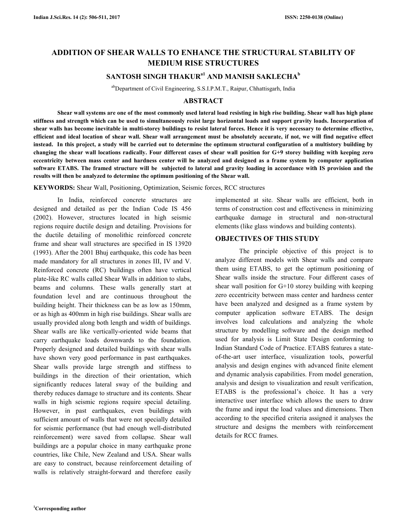# **ADDITION OF SHEAR WALLS TO ENHANCE THE STRUCTURAL STABILITY OF MEDIUM RISE STRUCTURES**

# **SANTOSH SINGH THAKURa1 AND MANISH SAKLECHA<sup>b</sup>**

abDepartment of Civil Engineering, S.S.I.P.M.T., Raipur, Chhattisgarh, India

## **ABSTRACT**

 **Shear wall systems are one of the most commonly used lateral load resisting in high rise building. Shear wall has high plane stiffness and strength which can be used to simultaneously resist large horizontal loads and support gravity loads. Incorporation of shear walls has become inevitable in multi-storey buildings to resist lateral forces. Hence it is very necessary to determine effective, efficient and ideal location of shear wall. Shear wall arrangement must be absolutely accurate, if not, we will find negative effect instead. In this project, a study will be carried out to determine the optimum structural configuration of a multistory building by changing the shear wall locations radically. Four different cases of shear wall position for G+9 storey building with keeping zero eccentricity between mass center and hardness center will be analyzed and designed as a frame system by computer application software ETABS. The framed structure will be subjected to lateral and gravity loading in accordance with IS provision and the results will then be analyzed to determine the optimum positioning of the Shear wall.** 

**KEYWORDS:** Shear Wall, Positioning, Optimization, Seismic forces, RCC structures

 In India, reinforced concrete structures are designed and detailed as per the Indian Code IS 456 (2002). However, structures located in high seismic regions require ductile design and detailing. Provisions for the ductile detailing of monolithic reinforced concrete frame and shear wall structures are specified in IS 13920 (1993). After the 2001 Bhuj earthquake, this code has been made mandatory for all structures in zones III, IV and V. Reinforced concrete (RC) buildings often have vertical plate-like RC walls called Shear Walls in addition to slabs, beams and columns. These walls generally start at foundation level and are continuous throughout the building height. Their thickness can be as low as 150mm, or as high as 400mm in high rise buildings. Shear walls are usually provided along both length and width of buildings. Shear walls are like vertically-oriented wide beams that carry earthquake loads downwards to the foundation. Properly designed and detailed buildings with shear walls have shown very good performance in past earthquakes. Shear walls provide large strength and stiffness to buildings in the direction of their orientation, which significantly reduces lateral sway of the building and thereby reduces damage to structure and its contents. Shear walls in high seismic regions require special detailing. However, in past earthquakes, even buildings with sufficient amount of walls that were not specially detailed for seismic performance (but had enough well-distributed reinforcement) were saved from collapse. Shear wall buildings are a popular choice in many earthquake prone countries, like Chile, New Zealand and USA. Shear walls are easy to construct, because reinforcement detailing of walls is relatively straight-forward and therefore easily

implemented at site. Shear walls are efficient, both in terms of construction cost and effectiveness in minimizing earthquake damage in structural and non-structural elements (like glass windows and building contents).

#### **OBJECTIVES OF THIS STUDY**

 The principle objective of this project is to analyze different models with Shear walls and compare them using ETABS, to get the optimum positioning of Shear walls inside the structure. Four different cases of shear wall position for G+10 storey building with keeping zero eccentricity between mass center and hardness center have been analyzed and designed as a frame system by computer application software ETABS. The design involves load calculations and analyzing the whole structure by modelling software and the design method used for analysis is Limit State Design conforming to Indian Standard Code of Practice. ETABS features a stateof-the-art user interface, visualization tools, powerful analysis and design engines with advanced finite element and dynamic analysis capabilities. From model generation, analysis and design to visualization and result verification, ETABS is the professional's choice. It has a very interactive user interface which allows the users to draw the frame and input the load values and dimensions. Then according to the specified criteria assigned it analyses the structure and designs the members with reinforcement details for RCC frames.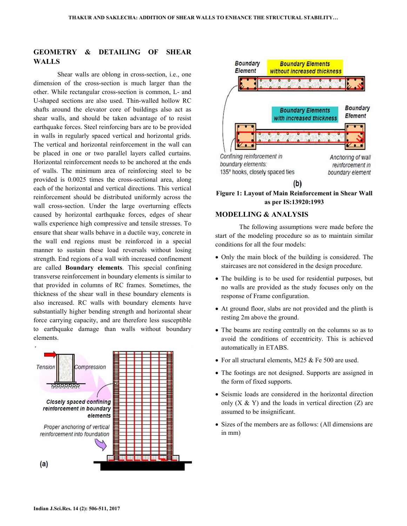# **GEOMETRY & DETAILING OF SHEAR WALLS**

 Shear walls are oblong in cross-section, i.e., one dimension of the cross-section is much larger than the other. While rectangular cross-section is common, L- and U-shaped sections are also used. Thin-walled hollow RC shafts around the elevator core of buildings also act as shear walls, and should be taken advantage of to resist earthquake forces. Steel reinforcing bars are to be provided in walls in regularly spaced vertical and horizontal grids. The vertical and horizontal reinforcement in the wall can be placed in one or two parallel layers called curtains. Horizontal reinforcement needs to be anchored at the ends of walls. The minimum area of reinforcing steel to be provided is 0.0025 times the cross-sectional area, along each of the horizontal and vertical directions. This vertical reinforcement should be distributed uniformly across the wall cross-section. Under the large overturning effects caused by horizontal earthquake forces, edges of shear walls experience high compressive and tensile stresses. To ensure that shear walls behave in a ductile way, concrete in the wall end regions must be reinforced in a special manner to sustain these load reversals without losing strength. End regions of a wall with increased confinement are called **Boundary elements**. This special confining transverse reinforcement in boundary elements is similar to that provided in columns of RC frames. Sometimes, the thickness of the shear wall in these boundary elements is also increased. RC walls with boundary elements have substantially higher bending strength and horizontal shear force carrying capacity, and are therefore less susceptible to earthquake damage than walls without boundary elements.





**Figure 1: Layout of Main Reinforcement in Shear Wall as per IS:13920:1993** 

#### **MODELLING & ANALYSIS**

 The following assumptions were made before the start of the modeling procedure so as to maintain similar conditions for all the four models:

- Only the main block of the building is considered. The staircases are not considered in the design procedure.
- The building is to be used for residential purposes, but no walls are provided as the study focuses only on the response of Frame configuration.
- At ground floor, slabs are not provided and the plinth is resting 2m above the ground.
- The beams are resting centrally on the columns so as to avoid the conditions of eccentricity. This is achieved automatically in ETABS.
- For all structural elements, M25 & Fe 500 are used.
- The footings are not designed. Supports are assigned in the form of fixed supports.
- Seismic loads are considered in the horizontal direction only  $(X & Y)$  and the loads in vertical direction  $(Z)$  are assumed to be insignificant.
- Sizes of the members are as follows: (All dimensions are in mm)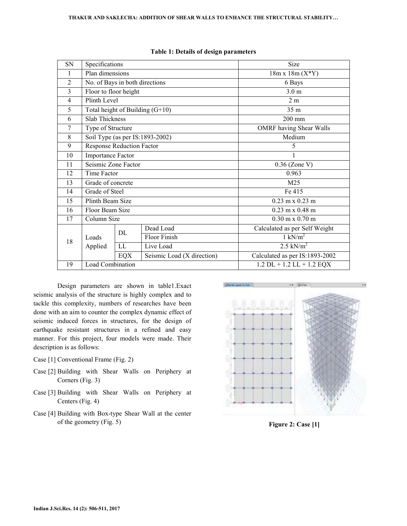| SN             | Specifications                    |     |                            | Size                                   |
|----------------|-----------------------------------|-----|----------------------------|----------------------------------------|
| 1              | Plan dimensions                   |     |                            | $18m x 18m (X*Y)$                      |
| $\overline{2}$ | No. of Bays in both directions    |     |                            | 6 Bays                                 |
| 3              | Floor to floor height             |     |                            | 3.0 <sub>m</sub>                       |
| $\overline{4}$ | Plinth Level                      |     |                            | 2m                                     |
| 5              | Total height of Building $(G+10)$ |     |                            | 35 m                                   |
| 6              | <b>Slab Thickness</b>             |     |                            | $200$ mm                               |
| 7              | Type of Structure                 |     |                            | <b>OMRF</b> having Shear Walls         |
| 8              | Soil Type (as per IS:1893-2002)   |     |                            | Medium                                 |
| 9              | <b>Response Reduction Factor</b>  |     |                            | 5                                      |
| 10             | <b>Importance Factor</b>          |     |                            | 1                                      |
| 11             | Seismic Zone Factor               |     |                            | $0.36$ (Zone V)                        |
| 12             | Time Factor                       |     |                            | 0.963                                  |
| 13             | Grade of concrete                 |     |                            | M25                                    |
| 14             | Grade of Steel                    |     |                            | Fe 415                                 |
| 15             | Plinth Beam Size                  |     |                            | $0.23 \text{ m} \times 0.23 \text{ m}$ |
| 16             | Floor Beam Size                   |     |                            | $0.23$ m x $0.48$ m                    |
| 17             | Column Size                       |     |                            | $0.30 \text{ m} \times 0.70 \text{ m}$ |
| 18             | Loads<br>Applied                  | DL  | Dead Load                  | Calculated as per Self Weight          |
|                |                                   |     | Floor Finish               | $1 \text{ kN/m}^2$                     |
|                |                                   | LL  | Live Load                  | 2.5 kN/ $m^2$                          |
|                |                                   | EQX | Seismic Load (X direction) | Calculated as per IS:1893-2002         |
| 19             | Load Combination                  |     |                            | $1.2$ DL + $1.2$ LL + $1.2$ EQX        |

### **Table 1: Details of design parameters**

 Design parameters are shown in table1.Exact seismic analysis of the structure is highly complex and to tackle this complexity, numbers of researches have been done with an aim to counter the complex dynamic effect of seismic induced forces in structures, for the design of earthquake resistant structures in a refined and easy manner. For this project, four models were made. Their description is as follows:

- Case [1] Conventional Frame (Fig. 2)
- Case [2] Building with Shear Walls on Periphery at Corners (Fig. 3)
- Case [3] Building with Shear Walls on Periphery at Centers (Fig. 4)
- Case [4] Building with Box-type Shear Wall at the center of the geometry (Fig. 5) **Figure 2: Case [1]**

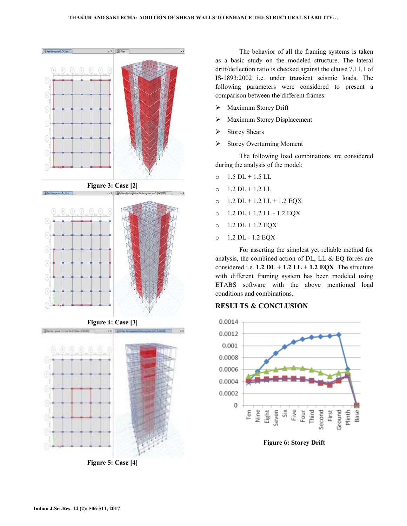

**Figure 5: Case [4]** 

The behavior of all the framing systems is taken as a basic study on the modeled structure. The lateral drift/deflection ratio is checked against the clause 7.11.1 of IS-1893:2002 i.e. under transient seismic loads. The following parameters were considered to present a comparison between the different frames: a basic study on the modeled structure. The later<br>f/deflection ratio is checked against the clause 7.11.1<br>1893:2002 i.e. under transient seismic loads. T<br>lowing parameters were considered to present<br>parison between the di

- Maximum Storey Drift
- Maximum Storey Displacement
- Storey Shears
- $\triangleright$  Storey Overturning Moment

The following load combinations are considered during the analysis of the model:

- $0 \quad 1.5 \text{ DL} + 1.5 \text{ LL}$
- $O$  1.2 DL + 1.2 LL
- $O$  1.2 DL + 1.2 LL + 1.2 EQX
- o 1.2 DL + 1.2 LL 1.2 EQX
- $O$  1.2 DL + 1.2 EQX
- o 1.2 DL 1.2 EQX

For asserting the simplest yet reliable method for analysis, the combined action of DL, LL & EQ forces are considered i.e.  $1.2 \text{ DL} + 1.2 \text{ LL} + 1.2 \text{ EQX}$ . The structure with different framing system has been modeled using with different framing system has been modeled using<br>ETABS software with the above mentioned load conditions and combinations.

## **RESULTS & CONCLUSION CONCLUSION**



**Figure 6: Storey Drift**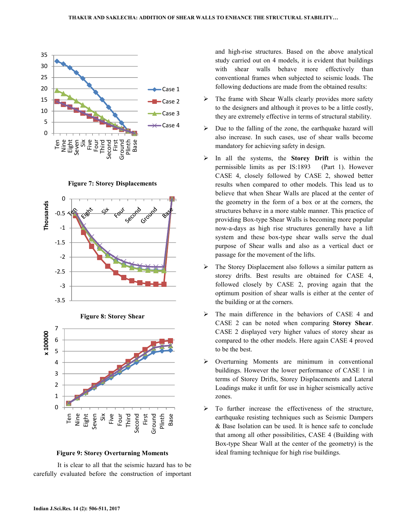

**Figure 7: Storey Displacements** 







### **Figure 9: Storey Overturning Moments**

 It is clear to all that the seismic hazard has to be carefully evaluated before the construction of important and high-rise structures. Based on the above analytical study carried out on 4 models, it is evident that buildings with shear walls behave more effectively than conventional frames when subjected to seismic loads. The following deductions are made from the obtained results:

- $\triangleright$  The frame with Shear Walls clearly provides more safety to the designers and although it proves to be a little costly, they are extremely effective in terms of structural stability.
- $\triangleright$  Due to the falling of the zone, the earthquake hazard will also increase. In such cases, use of shear walls become mandatory for achieving safety in design.
- In all the systems, the **Storey Drift** is within the permissible limits as per IS:1893 (Part 1). However CASE 4, closely followed by CASE 2, showed better results when compared to other models. This lead us to believe that when Shear Walls are placed at the center of the geometry in the form of a box or at the corners, the structures behave in a more stable manner. This practice of providing Box-type Shear Walls is becoming more popular now-a-days as high rise structures generally have a lift system and these box-type shear walls serve the dual purpose of Shear walls and also as a vertical duct or passage for the movement of the lifts.
- The Storey Displacement also follows a similar pattern as storey drifts. Best results are obtained for CASE 4, followed closely by CASE 2, proving again that the optimum position of shear walls is either at the center of the building or at the corners.
- $\triangleright$  The main difference in the behaviors of CASE 4 and CASE 2 can be noted when comparing **Storey Shear**. CASE 2 displayed very higher values of storey shear as compared to the other models. Here again CASE 4 proved to be the best.
- Overturning Moments are minimum in conventional buildings. However the lower performance of CASE 1 in terms of Storey Drifts, Storey Displacements and Lateral Loadings make it unfit for use in higher seismically active zones.
- $\triangleright$  To further increase the effectiveness of the structure, earthquake resisting techniques such as Seismic Dampers & Base Isolation can be used. It is hence safe to conclude that among all other possibilities, CASE 4 (Building with Box-type Shear Wall at the center of the geometry) is the ideal framing technique for high rise buildings.